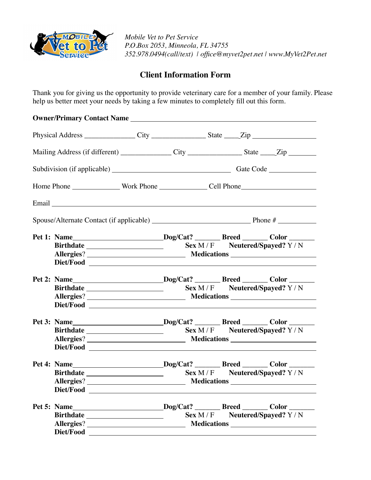

*Mobile Vet to Pet Service P.O.Box 2053, Minneola, FL 34755 352.978.0494(call/text) | office@myvet2pet.net | www.MyVet2Pet.net*

## **Client Information Form**

Thank you for giving us the opportunity to provide veterinary care for a member of your family. Please help us better meet your needs by taking a few minutes to completely fill out this form.

|                                                                                                      | Owner/Primary Contact Name |  |         |                                                                                                      |  |
|------------------------------------------------------------------------------------------------------|----------------------------|--|---------|------------------------------------------------------------------------------------------------------|--|
|                                                                                                      |                            |  |         | Physical Address _________________City ____________________State _____Zip __________________________ |  |
| Mailing Address (if different) ________________City __________________State _____Zip _______________ |                            |  |         |                                                                                                      |  |
|                                                                                                      |                            |  |         |                                                                                                      |  |
|                                                                                                      |                            |  |         |                                                                                                      |  |
|                                                                                                      |                            |  |         |                                                                                                      |  |
|                                                                                                      |                            |  |         |                                                                                                      |  |
|                                                                                                      |                            |  |         | Pet 1: Name____________________________Dog/Cat? __________Breed ________Color ________               |  |
|                                                                                                      |                            |  |         |                                                                                                      |  |
|                                                                                                      |                            |  |         |                                                                                                      |  |
|                                                                                                      |                            |  |         |                                                                                                      |  |
|                                                                                                      |                            |  |         | Pet 2: Name_____________________________Dog/Cat? __________Breed ________Color _______               |  |
|                                                                                                      |                            |  |         | Sex M/F Neutered/Spayed? Y/N                                                                         |  |
|                                                                                                      |                            |  |         |                                                                                                      |  |
|                                                                                                      |                            |  |         |                                                                                                      |  |
|                                                                                                      |                            |  |         | Pet 3: Name___________________________Dog/Cat? _________Breed ________Color _______                  |  |
|                                                                                                      |                            |  |         |                                                                                                      |  |
|                                                                                                      |                            |  |         |                                                                                                      |  |
|                                                                                                      |                            |  |         |                                                                                                      |  |
|                                                                                                      |                            |  |         | Pet 4: Name____________________________Dog/Cat? _________Breed ________Color ________                |  |
|                                                                                                      |                            |  |         | $Sex M/F$ Neutered/Spayed? Y/N                                                                       |  |
|                                                                                                      |                            |  |         |                                                                                                      |  |
|                                                                                                      | Diet/Food                  |  |         |                                                                                                      |  |
|                                                                                                      |                            |  |         | Pet 5: Name___________________________Dog/Cat? _________Breed ________Color _______                  |  |
|                                                                                                      |                            |  | Sex M/F | Neutered/Spayed? Y / N                                                                               |  |
|                                                                                                      |                            |  |         |                                                                                                      |  |
|                                                                                                      |                            |  |         |                                                                                                      |  |